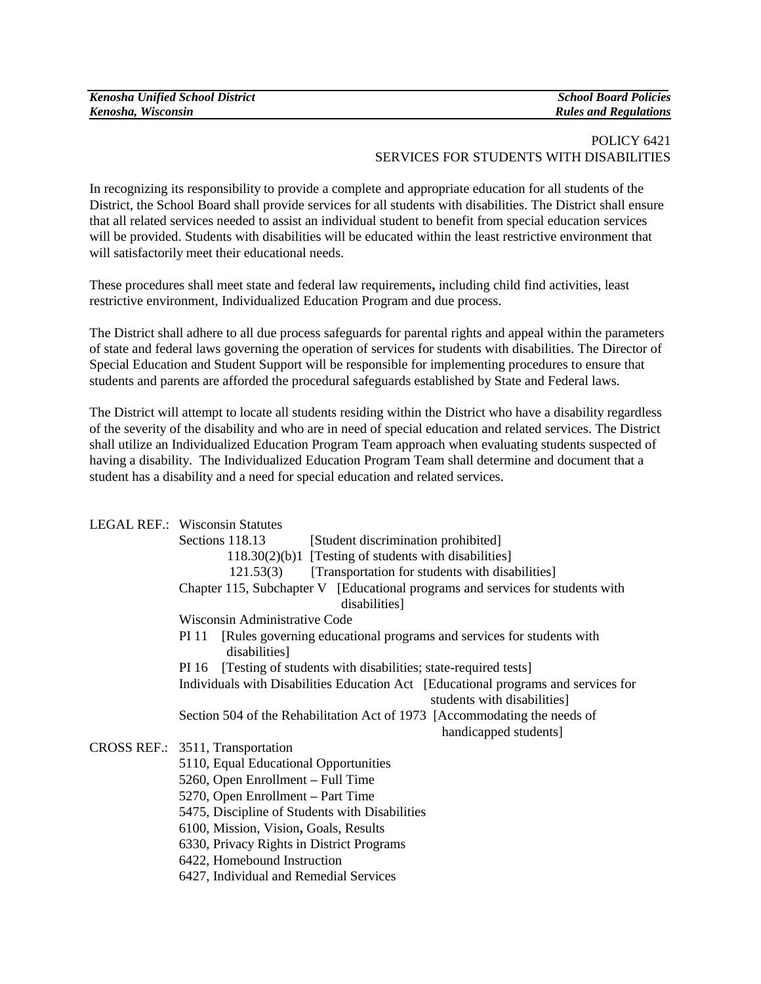| <b>Kenosha Unified School District</b> |
|----------------------------------------|
| Kenosha, Wisconsin                     |

#### *Kenosha Unified School District School Board Policies Kenosha, Wisconsin Rules and Regulations*

## POLICY 6421 SERVICES FOR STUDENTS WITH DISABILITIES

In recognizing its responsibility to provide a complete and appropriate education for all students of the District, the School Board shall provide services for all students with disabilities. The District shall ensure that all related services needed to assist an individual student to benefit from special education services will be provided. Students with disabilities will be educated within the least restrictive environment that will satisfactorily meet their educational needs.

These procedures shall meet state and federal law requirements**,** including child find activities, least restrictive environment, Individualized Education Program and due process.

The District shall adhere to all due process safeguards for parental rights and appeal within the parameters of state and federal laws governing the operation of services for students with disabilities. The Director of Special Education and Student Support will be responsible for implementing procedures to ensure that students and parents are afforded the procedural safeguards established by State and Federal laws.

The District will attempt to locate all students residing within the District who have a disability regardless of the severity of the disability and who are in need of special education and related services. The District shall utilize an Individualized Education Program Team approach when evaluating students suspected of having a disability. The Individualized Education Program Team shall determine and document that a student has a disability and a need for special education and related services.

|  | LEGAL REF.: Wisconsin Statutes                                                                 |
|--|------------------------------------------------------------------------------------------------|
|  | Sections 118.13<br>[Student discrimination prohibited]                                         |
|  | 118.30(2)(b)1 [Testing of students with disabilities]                                          |
|  | 121.53(3) [Transportation for students with disabilities]                                      |
|  | Chapter 115, Subchapter V [Educational programs and services for students with                 |
|  | disabilities]                                                                                  |
|  | Wisconsin Administrative Code                                                                  |
|  | [Rules governing educational programs and services for students with<br>PI 11<br>disabilities] |
|  | [Testing of students with disabilities; state-required tests]<br>PI 16                         |
|  | Individuals with Disabilities Education Act [Educational programs and services for             |
|  | students with disabilities]                                                                    |
|  | Section 504 of the Rehabilitation Act of 1973 [Accommodating the needs of                      |
|  | handicapped students]                                                                          |
|  | CROSS REF.: 3511, Transportation                                                               |
|  | 5110, Equal Educational Opportunities                                                          |
|  | 5260, Open Enrollment - Full Time                                                              |
|  | 5270, Open Enrollment – Part Time                                                              |
|  | 5475, Discipline of Students with Disabilities                                                 |
|  | 6100, Mission, Vision, Goals, Results                                                          |
|  | 6330, Privacy Rights in District Programs                                                      |
|  | 6422, Homebound Instruction                                                                    |
|  | 6427, Individual and Remedial Services                                                         |